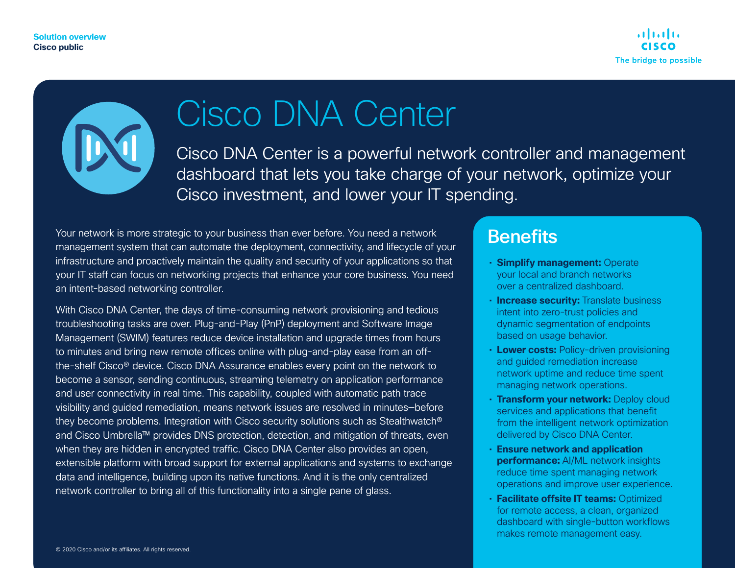**Solution overview Cisco public**



# Cisco DNA Center

Cisco DNA Center is a powerful network controller and management dashboard that lets you take charge of your network, optimize your Cisco investment, and lower your IT spending.

Your network is more strategic to your business than ever before. You need a network management system that can automate the deployment, connectivity, and lifecycle of your infrastructure and proactively maintain the quality and security of your applications so that your IT staff can focus on networking projects that enhance your core business. You need an intent-based networking controller.

With Cisco DNA Center, the days of time-consuming network provisioning and tedious troubleshooting tasks are over. Plug-and-Play (PnP) deployment and Software Image Management (SWIM) features reduce device installation and upgrade times from hours to minutes and bring new remote offices online with plug-and-play ease from an offthe-shelf Cisco® device. Cisco DNA Assurance enables every point on the network to become a sensor, sending continuous, streaming telemetry on application performance and user connectivity in real time. This capability, coupled with automatic path trace visibility and guided remediation, means network issues are resolved in minutes—before they become problems. Integration with Cisco security solutions such as Stealthwatch® and Cisco Umbrella™ provides DNS protection, detection, and mitigation of threats, even when they are hidden in encrypted traffic. Cisco DNA Center also provides an open, extensible platform with broad support for external applications and systems to exchange data and intelligence, building upon its native functions. And it is the only centralized network controller to bring all of this functionality into a single pane of glass.

### **Benefits**

- **Simplify management:** Operate your local and branch networks over a centralized dashboard.
- **Increase security:** Translate business intent into zero-trust policies and dynamic segmentation of endpoints based on usage behavior.
- **Lower costs:** Policy-driven provisioning and guided remediation increase network uptime and reduce time spent managing network operations.
- **Transform your network:** Deploy cloud services and applications that benefit from the intelligent network optimization delivered by Cisco DNA Center.
- **Ensure network and application performance:** AI/ML network insights reduce time spent managing network operations and improve user experience.
- **Facilitate offsite IT teams:** Optimized for remote access, a clean, organized dashboard with single-button workflows makes remote management easy.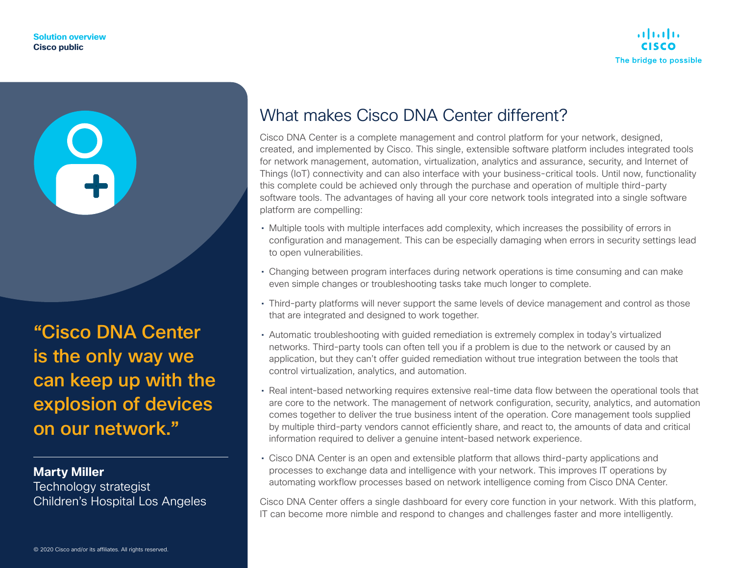

"Cisco DNA Center is the only way we can keep up with the explosion of devices

on our network."

**Marty Miller**

Technology strategist Children's Hospital Los Angeles

# What makes Cisco DNA Center different?

Cisco DNA Center is a complete management and control platform for your network, designed, created, and implemented by Cisco. This single, extensible software platform includes integrated tools for network management, automation, virtualization, analytics and assurance, security, and Internet of Things (IoT) connectivity and can also interface with your business-critical tools. Until now, functionality this complete could be achieved only through the purchase and operation of multiple third-party software tools. The advantages of having all your core network tools integrated into a single software platform are compelling:

- Multiple tools with multiple interfaces add complexity, which increases the possibility of errors in configuration and management. This can be especially damaging when errors in security settings lead to open vulnerabilities.
- Changing between program interfaces during network operations is time consuming and can make even simple changes or troubleshooting tasks take much longer to complete.
- Third-party platforms will never support the same levels of device management and control as those that are integrated and designed to work together.
- Automatic troubleshooting with guided remediation is extremely complex in today's virtualized networks. Third-party tools can often tell you if a problem is due to the network or caused by an application, but they can't offer guided remediation without true integration between the tools that control virtualization, analytics, and automation.
- Real intent-based networking requires extensive real-time data flow between the operational tools that are core to the network. The management of network configuration, security, analytics, and automation comes together to deliver the true business intent of the operation. Core management tools supplied by multiple third-party vendors cannot efficiently share, and react to, the amounts of data and critical information required to deliver a genuine intent-based network experience.
- Cisco DNA Center is an open and extensible platform that allows third-party applications and processes to exchange data and intelligence with your network. This improves IT operations by automating workflow processes based on network intelligence coming from Cisco DNA Center.

Cisco DNA Center offers a single dashboard for every core function in your network. With this platform, IT can become more nimble and respond to changes and challenges faster and more intelligently.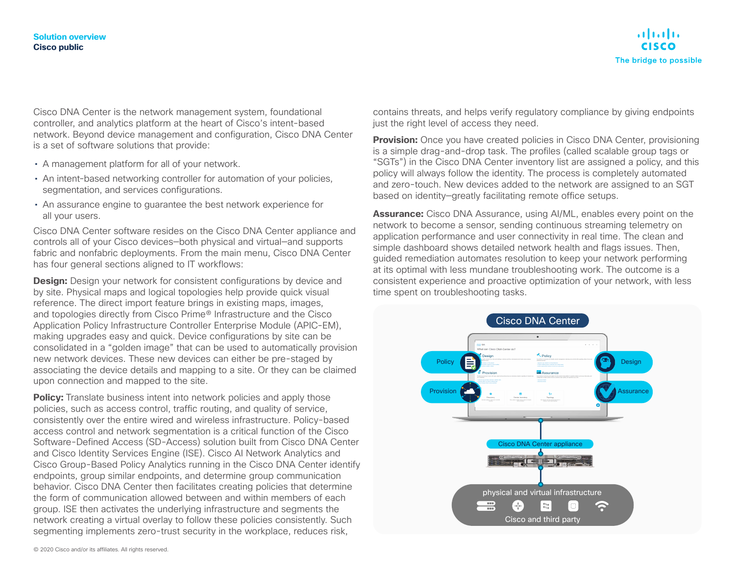#### **Solution overview Cisco public**



Cisco DNA Center is the network management system, foundational controller, and analytics platform at the heart of Cisco's intent-based network. Beyond device management and configuration, Cisco DNA Center is a set of software solutions that provide:

- A management platform for all of your network.
- An intent-based networking controller for automation of your policies, segmentation, and services configurations.
- An assurance engine to guarantee the best network experience for all your users.

Cisco DNA Center software resides on the Cisco DNA Center appliance and controls all of your Cisco devices—both physical and virtual—and supports fabric and nonfabric deployments. From the main menu, Cisco DNA Center has four general sections aligned to IT workflows:

**Design:** Design your network for consistent configurations by device and by site. Physical maps and logical topologies help provide quick visual reference. The direct import feature brings in existing maps, images, and topologies directly from Cisco Prime® Infrastructure and the Cisco Application Policy Infrastructure Controller Enterprise Module (APIC-EM), making upgrades easy and quick. Device configurations by site can be consolidated in a "golden image" that can be used to automatically provision new network devices. These new devices can either be pre-staged by associating the device details and mapping to a site. Or they can be claimed upon connection and mapped to the site.

**Policy:** Translate business intent into network policies and apply those policies, such as access control, traffic routing, and quality of service, consistently over the entire wired and wireless infrastructure. Policy-based access control and network segmentation is a critical function of the Cisco Software-Defined Access (SD-Access) solution built from Cisco DNA Center and Cisco Identity Services Engine (ISE). Cisco AI Network Analytics and Cisco Group-Based Policy Analytics running in the Cisco DNA Center identify endpoints, group similar endpoints, and determine group communication behavior. Cisco DNA Center then facilitates creating policies that determine the form of communication allowed between and within members of each group. ISE then activates the underlying infrastructure and segments the network creating a virtual overlay to follow these policies consistently. Such segmenting implements zero-trust security in the workplace, reduces risk,

contains threats, and helps verify regulatory compliance by giving endpoints just the right level of access they need.

**Provision:** Once you have created policies in Cisco DNA Center, provisioning is a simple drag-and-drop task. The profiles (called scalable group tags or "SGTs") in the Cisco DNA Center inventory list are assigned a policy, and this policy will always follow the identity. The process is completely automated and zero-touch. New devices added to the network are assigned to an SGT based on identity—greatly facilitating remote office setups.

**Assurance:** Cisco DNA Assurance, using AI/ML, enables every point on the network to become a sensor, sending continuous streaming telemetry on application performance and user connectivity in real time. The clean and simple dashboard shows detailed network health and flags issues. Then, guided remediation automates resolution to keep your network performing at its optimal with less mundane troubleshooting work. The outcome is a consistent experience and proactive optimization of your network, with less time spent on troubleshooting tasks.

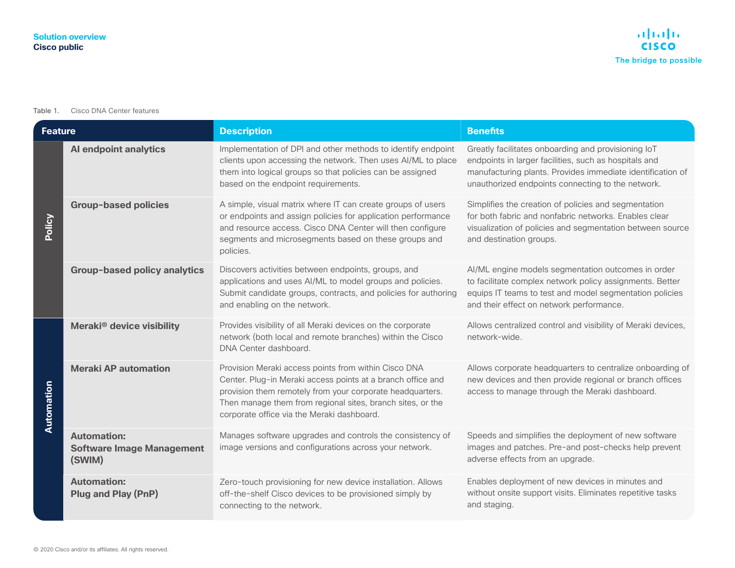#### Table 1. Cisco DNA Center features

| <b>Feature</b> |                                                                  | <b>Description</b>                                                                                                                                                                                                                                                                           | <b>Benefits</b>                                                                                                                                                                                                                 |
|----------------|------------------------------------------------------------------|----------------------------------------------------------------------------------------------------------------------------------------------------------------------------------------------------------------------------------------------------------------------------------------------|---------------------------------------------------------------------------------------------------------------------------------------------------------------------------------------------------------------------------------|
| Policy         | Al endpoint analytics                                            | Implementation of DPI and other methods to identify endpoint<br>clients upon accessing the network. Then uses Al/ML to place<br>them into logical groups so that policies can be assigned<br>based on the endpoint requirements.                                                             | Greatly facilitates onboarding and provisioning IoT<br>endpoints in larger facilities, such as hospitals and<br>manufacturing plants. Provides immediate identification of<br>unauthorized endpoints connecting to the network. |
|                | <b>Group-based policies</b>                                      | A simple, visual matrix where IT can create groups of users<br>or endpoints and assign policies for application performance<br>and resource access. Cisco DNA Center will then configure<br>segments and microsegments based on these groups and<br>policies.                                | Simplifies the creation of policies and segmentation<br>for both fabric and nonfabric networks. Enables clear<br>visualization of policies and segmentation between source<br>and destination groups.                           |
|                | <b>Group-based policy analytics</b>                              | Discovers activities between endpoints, groups, and<br>applications and uses Al/ML to model groups and policies.<br>Submit candidate groups, contracts, and policies for authoring<br>and enabling on the network.                                                                           | Al/ML engine models segmentation outcomes in order<br>to facilitate complex network policy assignments. Better<br>equips IT teams to test and model segmentation policies<br>and their effect on network performance.           |
| Automation     | Meraki <sup>®</sup> device visibility                            | Provides visibility of all Meraki devices on the corporate<br>network (both local and remote branches) within the Cisco<br>DNA Center dashboard.                                                                                                                                             | Allows centralized control and visibility of Meraki devices,<br>network-wide.                                                                                                                                                   |
|                | <b>Meraki AP automation</b>                                      | Provision Meraki access points from within Cisco DNA<br>Center. Plug-in Meraki access points at a branch office and<br>provision them remotely from your corporate headquarters.<br>Then manage them from regional sites, branch sites, or the<br>corporate office via the Meraki dashboard. | Allows corporate headquarters to centralize onboarding of<br>new devices and then provide regional or branch offices<br>access to manage through the Meraki dashboard.                                                          |
|                | <b>Automation:</b><br><b>Software Image Management</b><br>(SWIM) | Manages software upgrades and controls the consistency of<br>image versions and configurations across your network.                                                                                                                                                                          | Speeds and simplifies the deployment of new software<br>images and patches. Pre-and post-checks help prevent<br>adverse effects from an upgrade.                                                                                |
|                | <b>Automation:</b><br><b>Plug and Play (PnP)</b>                 | Zero-touch provisioning for new device installation. Allows<br>off-the-shelf Cisco devices to be provisioned simply by<br>connecting to the network.                                                                                                                                         | Enables deployment of new devices in minutes and<br>without onsite support visits. Eliminates repetitive tasks<br>and staging.                                                                                                  |
|                | © 2020 Cisco and/or its affiliates. All rights reserved.         |                                                                                                                                                                                                                                                                                              |                                                                                                                                                                                                                                 |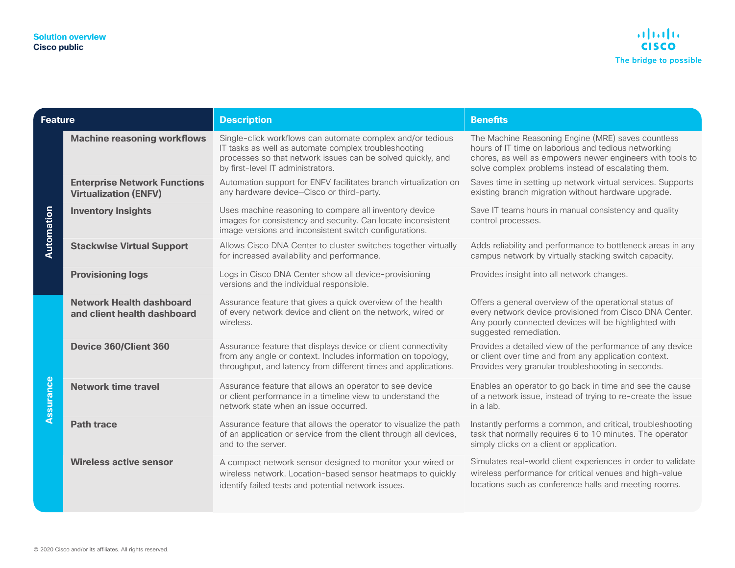| <b>Feature</b>                                           |                                                                     | <b>Description</b>                                                                                                                                                                                                     | <b>Benefits</b>                                                                                                                                                                                                               |  |
|----------------------------------------------------------|---------------------------------------------------------------------|------------------------------------------------------------------------------------------------------------------------------------------------------------------------------------------------------------------------|-------------------------------------------------------------------------------------------------------------------------------------------------------------------------------------------------------------------------------|--|
| Automation                                               | <b>Machine reasoning workflows</b>                                  | Single-click workflows can automate complex and/or tedious<br>IT tasks as well as automate complex troubleshooting<br>processes so that network issues can be solved quickly, and<br>by first-level IT administrators. | The Machine Reasoning Engine (MRE) saves countless<br>hours of IT time on laborious and tedious networking<br>chores, as well as empowers newer engineers with tools to<br>solve complex problems instead of escalating them. |  |
|                                                          | <b>Enterprise Network Functions</b><br><b>Virtualization (ENFV)</b> | Automation support for ENFV facilitates branch virtualization on<br>any hardware device-Cisco or third-party.                                                                                                          | Saves time in setting up network virtual services. Supports<br>existing branch migration without hardware upgrade.                                                                                                            |  |
|                                                          | <b>Inventory Insights</b>                                           | Uses machine reasoning to compare all inventory device<br>images for consistency and security. Can locate inconsistent<br>image versions and inconsistent switch configurations.                                       | Save IT teams hours in manual consistency and quality<br>control processes.                                                                                                                                                   |  |
|                                                          | <b>Stackwise Virtual Support</b>                                    | Allows Cisco DNA Center to cluster switches together virtually<br>for increased availability and performance.                                                                                                          | Adds reliability and performance to bottleneck areas in any<br>campus network by virtually stacking switch capacity.                                                                                                          |  |
|                                                          | <b>Provisioning logs</b>                                            | Logs in Cisco DNA Center show all device-provisioning<br>versions and the individual responsible.                                                                                                                      | Provides insight into all network changes.                                                                                                                                                                                    |  |
| Assurance                                                | <b>Network Health dashboard</b><br>and client health dashboard      | Assurance feature that gives a quick overview of the health<br>of every network device and client on the network, wired or<br>wireless.                                                                                | Offers a general overview of the operational status of<br>every network device provisioned from Cisco DNA Center.<br>Any poorly connected devices will be highlighted with<br>suggested remediation.                          |  |
|                                                          | Device 360/Client 360                                               | Assurance feature that displays device or client connectivity<br>from any angle or context. Includes information on topology,<br>throughput, and latency from different times and applications.                        | Provides a detailed view of the performance of any device<br>or client over time and from any application context.<br>Provides very granular troubleshooting in seconds.                                                      |  |
|                                                          | <b>Network time travel</b>                                          | Assurance feature that allows an operator to see device<br>or client performance in a timeline view to understand the<br>network state when an issue occurred.                                                         | Enables an operator to go back in time and see the cause<br>of a network issue, instead of trying to re-create the issue<br>in a lab.                                                                                         |  |
|                                                          | <b>Path trace</b>                                                   | Assurance feature that allows the operator to visualize the path<br>of an application or service from the client through all devices,<br>and to the server.                                                            | Instantly performs a common, and critical, troubleshooting<br>task that normally requires 6 to 10 minutes. The operator<br>simply clicks on a client or application.                                                          |  |
|                                                          | <b>Wireless active sensor</b>                                       | A compact network sensor designed to monitor your wired or<br>wireless network. Location-based sensor heatmaps to quickly<br>identify failed tests and potential network issues.                                       | Simulates real-world client experiences in order to validate<br>wireless performance for critical venues and high-value<br>locations such as conference halls and meeting rooms.                                              |  |
|                                                          |                                                                     |                                                                                                                                                                                                                        |                                                                                                                                                                                                                               |  |
| © 2020 Cisco and/or its affiliates. All rights reserved. |                                                                     |                                                                                                                                                                                                                        |                                                                                                                                                                                                                               |  |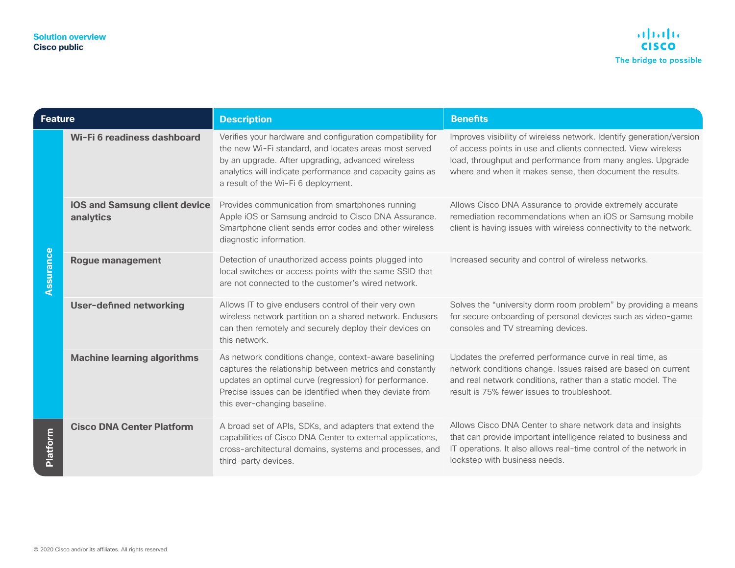| Feature         |                                                          | <b>Description</b>                                                                                                                                                                                                                                                           | <b>Benefits</b>                                                                                                                                                                                                                                                 |
|-----------------|----------------------------------------------------------|------------------------------------------------------------------------------------------------------------------------------------------------------------------------------------------------------------------------------------------------------------------------------|-----------------------------------------------------------------------------------------------------------------------------------------------------------------------------------------------------------------------------------------------------------------|
| Assurance       | Wi-Fi 6 readiness dashboard                              | Verifies your hardware and configuration compatibility for<br>the new Wi-Fi standard, and locates areas most served<br>by an upgrade. After upgrading, advanced wireless<br>analytics will indicate performance and capacity gains as<br>a result of the Wi-Fi 6 deployment. | Improves visibility of wireless network. Identify generation/version<br>of access points in use and clients connected. View wireless<br>load, throughput and performance from many angles. Upgrade<br>where and when it makes sense, then document the results. |
|                 | iOS and Samsung client device<br>analytics               | Provides communication from smartphones running<br>Apple iOS or Samsung android to Cisco DNA Assurance.<br>Smartphone client sends error codes and other wireless<br>diagnostic information.                                                                                 | Allows Cisco DNA Assurance to provide extremely accurate<br>remediation recommendations when an iOS or Samsung mobile<br>client is having issues with wireless connectivity to the network.                                                                     |
|                 | <b>Rogue management</b>                                  | Detection of unauthorized access points plugged into<br>local switches or access points with the same SSID that<br>are not connected to the customer's wired network.                                                                                                        | Increased security and control of wireless networks.                                                                                                                                                                                                            |
|                 | <b>User-defined networking</b>                           | Allows IT to give endusers control of their very own<br>wireless network partition on a shared network. Endusers<br>can then remotely and securely deploy their devices on<br>this network.                                                                                  | Solves the "university dorm room problem" by providing a means<br>for secure onboarding of personal devices such as video-game<br>consoles and TV streaming devices.                                                                                            |
|                 | <b>Machine learning algorithms</b>                       | As network conditions change, context-aware baselining<br>captures the relationship between metrics and constantly<br>updates an optimal curve (regression) for performance.<br>Precise issues can be identified when they deviate from<br>this ever-changing baseline.      | Updates the preferred performance curve in real time, as<br>network conditions change. Issues raised are based on current<br>and real network conditions, rather than a static model. The<br>result is 75% fewer issues to troubleshoot.                        |
| <b>Platform</b> | <b>Cisco DNA Center Platform</b>                         | A broad set of APIs, SDKs, and adapters that extend the<br>capabilities of Cisco DNA Center to external applications,<br>cross-architectural domains, systems and processes, and<br>third-party devices.                                                                     | Allows Cisco DNA Center to share network data and insights<br>that can provide important intelligence related to business and<br>IT operations. It also allows real-time control of the network in<br>lockstep with business needs.                             |
|                 | © 2020 Cisco and/or its affiliates. All rights reserved. |                                                                                                                                                                                                                                                                              |                                                                                                                                                                                                                                                                 |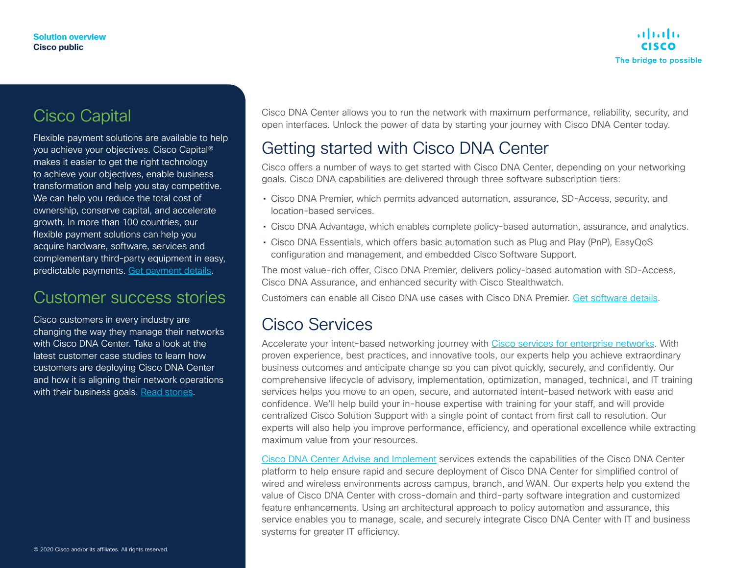# Cisco Capital

Flexible payment solutions are available to help you achieve your objectives. Cisco Capital® makes it easier to get the right technology to achieve your objectives, enable business transformation and help you stay competitive. We can help you reduce the total cost of ownership, conserve capital, and accelerate growth. In more than 100 countries, our flexible payment solutions can help you acquire hardware, software, services and complementary third-party equipment in easy, predictable payments. [Get payment details](https://www.cisco.com/c/en/us/buy/payment-solutions.html).

## Customer success stories

Cisco customers in every industry are changing the way they manage their networks with Cisco DNA Center. Take a look at the latest customer case studies to learn how customers are deploying Cisco DNA Center and how it is aligning their network operations with their business goals. [Read stories.](https://www.cisco.com/c/en/us/solutions/enterprise-networks/network-architecture-customer-success-stories.html)

Cisco DNA Center allows you to run the network with maximum performance, reliability, security, and open interfaces. Unlock the power of data by starting your journey with Cisco DNA Center today.

# Getting started with Cisco DNA Center

Cisco offers a number of ways to get started with Cisco DNA Center, depending on your networking goals. Cisco DNA capabilities are delivered through three software subscription tiers:

- Cisco DNA Premier, which permits advanced automation, assurance, SD-Access, security, and location-based services.
- Cisco DNA Advantage, which enables complete policy-based automation, assurance, and analytics.
- Cisco DNA Essentials, which offers basic automation such as Plug and Play (PnP), EasyQoS configuration and management, and embedded Cisco Software Support.

The most value-rich offer, Cisco DNA Premier, delivers policy-based automation with SD-Access, Cisco DNA Assurance, and enhanced security with Cisco Stealthwatch.

Customers can enable all Cisco DNA use cases with Cisco DNA Premier. [Get software details.](https://www.cisco.com/c/en/us/products/software/dna-software/index.html)

#### Cisco Services

Accelerate your intent-based networking journey with [Cisco services for enterprise networks](https://www.cisco.com/c/en/us/solutions/enterprise-networks/service-listing.html). With proven experience, best practices, and innovative tools, our experts help you achieve extraordinary business outcomes and anticipate change so you can pivot quickly, securely, and confidently. Our comprehensive lifecycle of advisory, implementation, optimization, managed, technical, and IT training services helps you move to an open, secure, and automated intent-based network with ease and confidence. We'll help build your in-house expertise with training for your staff, and will provide centralized Cisco Solution Support with a single point of contact from first call to resolution. Our experts will also help you improve performance, efficiency, and operational excellence while extracting maximum value from your resources.

[Cisco DNA Center Advise and Implement](https://www.cisco.com/c/en/us/solutions/collateral/enterprise-networks/at-a-glance-c45-739527.html) services extends the capabilities of the Cisco DNA Center platform to help ensure rapid and secure deployment of Cisco DNA Center for simplified control of wired and wireless environments across campus, branch, and WAN. Our experts help you extend the value of Cisco DNA Center with cross-domain and third-party software integration and customized feature enhancements. Using an architectural approach to policy automation and assurance, this service enables you to manage, scale, and securely integrate Cisco DNA Center with IT and business systems for greater IT efficiency.